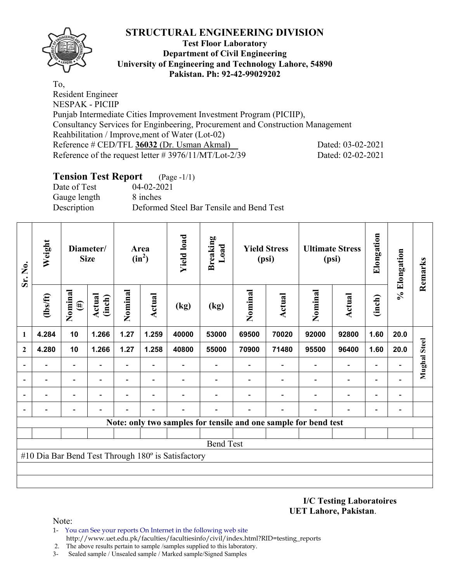

## **Test Floor Laboratory Department of Civil Engineering University of Engineering and Technology Lahore, 54890 Pakistan. Ph: 92-42-99029202**

To, Resident Engineer NESPAK - PICIIP Punjab Intermediate Cities Improvement Investment Program (PICIIP), Consultancy Services for Enginbeering, Procurement and Construction Management Reahbilitation / Improve,ment of Water (Lot-02) Reference # CED/TFL **36032** (Dr. Usman Akmal) Dated: 03-02-2021 Reference of the request letter # 3976/11/MT/Lot-2/39 Dated: 02-02-2021

# **Tension Test Report** (Page -1/1)

Date of Test 04-02-2021 Gauge length 8 inches Description Deformed Steel Bar Tensile and Bend Test

| Sr. No.                                            | Weight                   |                          | Diameter/<br><b>Size</b> |                          | Area<br>$(in^2)$         | <b>Yield load</b> | <b>Breaking</b><br>Load  |         | <b>Yield Stress</b><br>(psi)                                    |                          | <b>Ultimate Stress</b><br>(psi) | Elongation               | % Elongation | Remarks             |
|----------------------------------------------------|--------------------------|--------------------------|--------------------------|--------------------------|--------------------------|-------------------|--------------------------|---------|-----------------------------------------------------------------|--------------------------|---------------------------------|--------------------------|--------------|---------------------|
|                                                    | $\frac{2}{10}$           | Nominal<br>$(\#)$        | <b>Actual</b><br>(inch)  | Nominal                  | Actual                   | (kg)              | (kg)                     | Nominal | Actual                                                          | Nominal                  | <b>Actual</b>                   | (inch)                   |              |                     |
| 1                                                  | 4.284                    | 10                       | 1.266                    | 1.27                     | 1.259                    | 40000             | 53000                    | 69500   | 70020                                                           | 92000                    | 92800                           | 1.60                     | 20.0         |                     |
| $\mathbf{2}$                                       | 4.280                    | 10                       | 1.266                    | 1.27                     | 1.258                    | 40800             | 55000                    | 70900   | 71480                                                           | 95500                    | 96400                           | 1.60                     | 20.0         | <b>Mughal Steel</b> |
|                                                    |                          | $\overline{\phantom{0}}$ |                          | $\overline{\phantom{0}}$ |                          |                   |                          |         |                                                                 |                          |                                 |                          |              |                     |
|                                                    | $\overline{\phantom{0}}$ | $\overline{\phantom{a}}$ | $\overline{\phantom{0}}$ | $\overline{\phantom{0}}$ | $\overline{\phantom{a}}$ |                   | $\overline{\phantom{0}}$ |         | $\overline{\phantom{0}}$                                        | $\overline{\phantom{0}}$ | $\overline{\phantom{a}}$        | $\overline{\phantom{0}}$ |              |                     |
|                                                    |                          | $\overline{\phantom{0}}$ |                          |                          |                          |                   |                          |         |                                                                 |                          |                                 | ۰                        |              |                     |
|                                                    |                          |                          |                          |                          |                          |                   |                          |         |                                                                 |                          |                                 |                          |              |                     |
|                                                    |                          |                          |                          |                          |                          |                   |                          |         | Note: only two samples for tensile and one sample for bend test |                          |                                 |                          |              |                     |
|                                                    |                          |                          |                          |                          |                          |                   |                          |         |                                                                 |                          |                                 |                          |              |                     |
| <b>Bend Test</b>                                   |                          |                          |                          |                          |                          |                   |                          |         |                                                                 |                          |                                 |                          |              |                     |
| #10 Dia Bar Bend Test Through 180° is Satisfactory |                          |                          |                          |                          |                          |                   |                          |         |                                                                 |                          |                                 |                          |              |                     |
|                                                    |                          |                          |                          |                          |                          |                   |                          |         |                                                                 |                          |                                 |                          |              |                     |
|                                                    |                          |                          |                          |                          |                          |                   |                          |         |                                                                 |                          |                                 |                          |              |                     |

#### **I/C Testing Laboratoires UET Lahore, Pakistan**.

- 1- You can See your reports On Internet in the following web site http://www.uet.edu.pk/faculties/facultiesinfo/civil/index.html?RID=testing\_reports
- 2. The above results pertain to sample /samples supplied to this laboratory.
- 3- Sealed sample / Unsealed sample / Marked sample/Signed Samples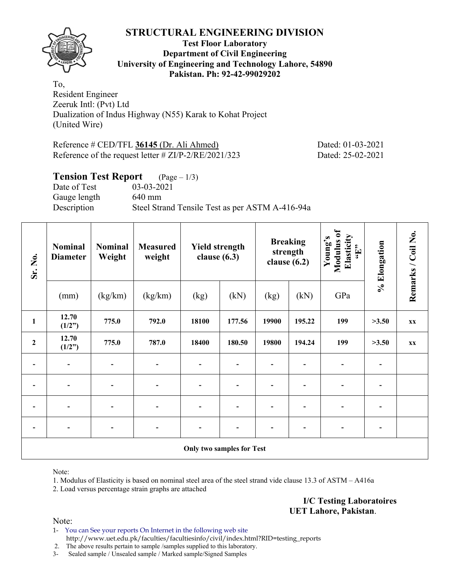

## **Test Floor Laboratory Department of Civil Engineering University of Engineering and Technology Lahore, 54890 Pakistan. Ph: 92-42-99029202**

To, Resident Engineer Zeeruk Intl: (Pvt) Ltd Dualization of Indus Highway (N55) Karak to Kohat Project (United Wire)

Reference # CED/TFL **36145** (Dr. Ali Ahmed) Dated: 01-03-2021 Reference of the request letter # ZI/P-2/RE/2021/323 Dated: 25-02-2021

## **Tension Test Report** (Page – 1/3) Date of Test 03-03-2021 Gauge length 640 mm Description Steel Strand Tensile Test as per ASTM A-416-94a

| Sr. No.          | <b>Nominal</b><br><b>Diameter</b> | <b>Nominal</b><br>Weight | <b>Measured</b><br>weight | <b>Yield strength</b><br>clause $(6.3)$ |        |       | <b>Breaking</b><br>strength<br>clause $(6.2)$ | Modulus of<br>Elasticity<br>Young's<br>$\mathbf{H},$ | % Elongation | Remarks / Coil No. |  |  |  |
|------------------|-----------------------------------|--------------------------|---------------------------|-----------------------------------------|--------|-------|-----------------------------------------------|------------------------------------------------------|--------------|--------------------|--|--|--|
|                  | (mm)                              | (kg/km)                  | (kg/km)                   | (kg)                                    | (kN)   | (kg)  | (kN)                                          | GPa                                                  |              |                    |  |  |  |
| $\mathbf{1}$     | 12.70<br>(1/2")                   | 775.0                    | 792.0                     | 18100                                   | 177.56 | 19900 | 195.22                                        | 199                                                  | >3.50        | XX                 |  |  |  |
| $\boldsymbol{2}$ | 12.70<br>(1/2")                   | 775.0                    | 787.0                     | 18400                                   | 180.50 | 19800 | 194.24                                        | 199                                                  | >3.50        | <b>XX</b>          |  |  |  |
|                  | $\overline{\phantom{a}}$          | $\blacksquare$           | $\overline{\phantom{0}}$  | $\blacksquare$                          |        |       |                                               | $\qquad \qquad \blacksquare$                         |              |                    |  |  |  |
| $\overline{a}$   |                                   |                          |                           |                                         |        |       |                                               |                                                      |              |                    |  |  |  |
|                  |                                   |                          |                           |                                         |        |       |                                               |                                                      |              |                    |  |  |  |
|                  |                                   |                          |                           |                                         |        |       |                                               |                                                      |              |                    |  |  |  |
|                  | <b>Only two samples for Test</b>  |                          |                           |                                         |        |       |                                               |                                                      |              |                    |  |  |  |

Note:

1. Modulus of Elasticity is based on nominal steel area of the steel strand vide clause 13.3 of ASTM – A416a

2. Load versus percentage strain graphs are attached

**I/C Testing Laboratoires UET Lahore, Pakistan**.

Note:

1- You can See your reports On Internet in the following web site http://www.uet.edu.pk/faculties/facultiesinfo/civil/index.html?RID=testing\_reports

2. The above results pertain to sample /samples supplied to this laboratory.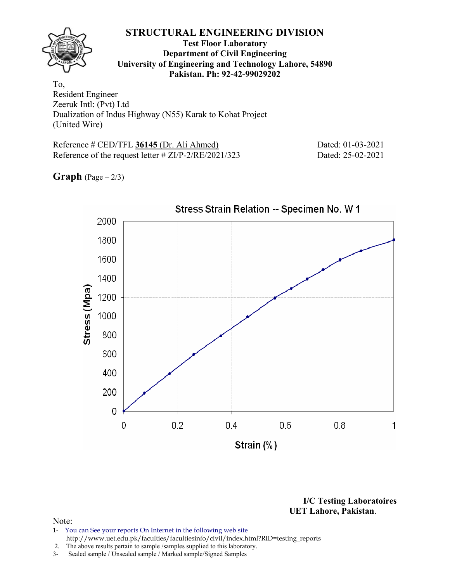## **Test Floor Laboratory Department of Civil Engineering University of Engineering and Technology Lahore, 54890 Pakistan. Ph: 92-42-99029202**

To, Resident Engineer Zeeruk Intl: (Pvt) Ltd Dualization of Indus Highway (N55) Karak to Kohat Project (United Wire)

Reference # CED/TFL **36145** (Dr. Ali Ahmed) Dated: 01-03-2021 Reference of the request letter # ZI/P-2/RE/2021/323 Dated: 25-02-2021

**Graph**  $(Page - 2/3)$ 



**I/C Testing Laboratoires UET Lahore, Pakistan**.

- 1- You can See your reports On Internet in the following web site http://www.uet.edu.pk/faculties/facultiesinfo/civil/index.html?RID=testing\_reports
- 2. The above results pertain to sample /samples supplied to this laboratory.
- 3- Sealed sample / Unsealed sample / Marked sample/Signed Samples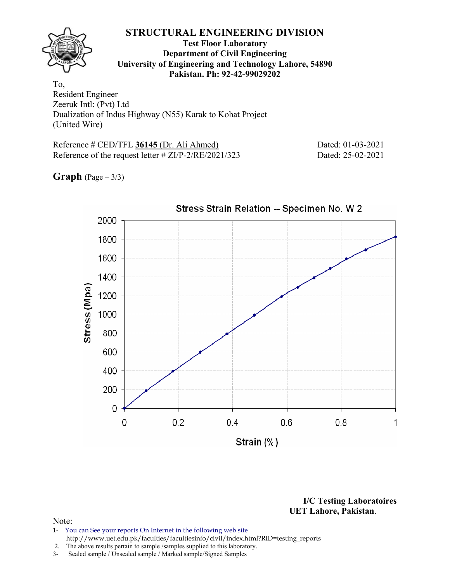### **Test Floor Laboratory Department of Civil Engineering University of Engineering and Technology Lahore, 54890 Pakistan. Ph: 92-42-99029202**

To, Resident Engineer Zeeruk Intl: (Pvt) Ltd Dualization of Indus Highway (N55) Karak to Kohat Project (United Wire)

Reference # CED/TFL **36145** (Dr. Ali Ahmed) Dated: 01-03-2021 Reference of the request letter # ZI/P-2/RE/2021/323 Dated: 25-02-2021

**Graph**  $(Page - 3/3)$ 



**I/C Testing Laboratoires UET Lahore, Pakistan**.

- 1- You can See your reports On Internet in the following web site http://www.uet.edu.pk/faculties/facultiesinfo/civil/index.html?RID=testing\_reports
- 2. The above results pertain to sample /samples supplied to this laboratory.
- 3- Sealed sample / Unsealed sample / Marked sample/Signed Samples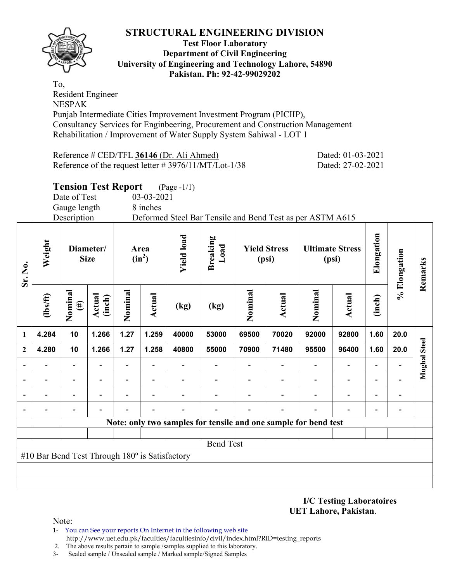

#### **Test Floor Laboratory Department of Civil Engineering University of Engineering and Technology Lahore, 54890 Pakistan. Ph: 92-42-99029202**

To, Resident Engineer NESPAK Punjab Intermediate Cities Improvement Investment Program (PICIIP), Consultancy Services for Enginbeering, Procurement and Construction Management Rehabilitation / Improvement of Water Supply System Sahiwal - LOT 1

Reference # CED/TFL **36146** (Dr. Ali Ahmed) Dated: 01-03-2021 Reference of the request letter # 3976/11/MT/Lot-1/38 Dated: 27-02-2021

**Tension Test Report** (Page -1/1)

Date of Test 03-03-2021

Gauge length 8 inches

Description Deformed Steel Bar Tensile and Bend Test as per ASTM A615

| Sr. No.                  | Weight                                         |                          | Diameter/<br><b>Size</b> |         | Area<br>$(in^2)$         | <b>Yield load</b> | <b>Breaking</b><br>Load                                         |         | <b>Yield Stress</b><br>(psi) |                          | <b>Ultimate Stress</b><br>(psi) | Elongation               | % Elongation             | Remarks             |
|--------------------------|------------------------------------------------|--------------------------|--------------------------|---------|--------------------------|-------------------|-----------------------------------------------------------------|---------|------------------------------|--------------------------|---------------------------------|--------------------------|--------------------------|---------------------|
|                          | $\frac{2}{10}$                                 | Nominal<br>$(\#)$        | <b>Actual</b><br>(inch)  | Nominal | Actual                   | (kg)              | (kg)                                                            | Nominal | <b>Actual</b>                | Nominal                  | <b>Actual</b>                   | (inch)                   |                          |                     |
| 1                        | 4.284                                          | 10                       | 1.266                    | 1.27    | 1.259                    | 40000             | 53000                                                           | 69500   | 70020                        | 92000                    | 92800                           | 1.60                     | 20.0                     |                     |
| $\boldsymbol{2}$         | 4.280                                          | 10                       | 1.266                    | 1.27    | 1.258                    | 40800             | 55000                                                           | 70900   | 71480                        | 95500                    | 96400                           | 1.60                     | 20.0                     | <b>Mughal Steel</b> |
| $\overline{\phantom{a}}$ |                                                | $\overline{\phantom{0}}$ |                          |         |                          |                   |                                                                 |         |                              | $\overline{\phantom{0}}$ | $\overline{\phantom{0}}$        | $\overline{\phantom{0}}$ |                          |                     |
|                          |                                                | $\overline{\phantom{0}}$ |                          |         |                          |                   |                                                                 |         |                              |                          | $\overline{a}$                  | $\overline{\phantom{0}}$ |                          |                     |
|                          |                                                | $\overline{\phantom{0}}$ |                          |         | $\overline{\phantom{0}}$ |                   |                                                                 |         |                              |                          | $\overline{a}$                  | $\blacksquare$           | $\overline{\phantom{a}}$ |                     |
|                          |                                                |                          |                          |         |                          |                   |                                                                 |         |                              |                          |                                 | $\overline{\phantom{0}}$ |                          |                     |
|                          |                                                |                          |                          |         |                          |                   | Note: only two samples for tensile and one sample for bend test |         |                              |                          |                                 |                          |                          |                     |
|                          |                                                |                          |                          |         |                          |                   |                                                                 |         |                              |                          |                                 |                          |                          |                     |
| <b>Bend Test</b>         |                                                |                          |                          |         |                          |                   |                                                                 |         |                              |                          |                                 |                          |                          |                     |
|                          | #10 Bar Bend Test Through 180° is Satisfactory |                          |                          |         |                          |                   |                                                                 |         |                              |                          |                                 |                          |                          |                     |
|                          |                                                |                          |                          |         |                          |                   |                                                                 |         |                              |                          |                                 |                          |                          |                     |
|                          |                                                |                          |                          |         |                          |                   |                                                                 |         |                              |                          |                                 |                          |                          |                     |

**I/C Testing Laboratoires UET Lahore, Pakistan**.

- 1- You can See your reports On Internet in the following web site http://www.uet.edu.pk/faculties/facultiesinfo/civil/index.html?RID=testing\_reports
- 2. The above results pertain to sample /samples supplied to this laboratory.
- 3- Sealed sample / Unsealed sample / Marked sample/Signed Samples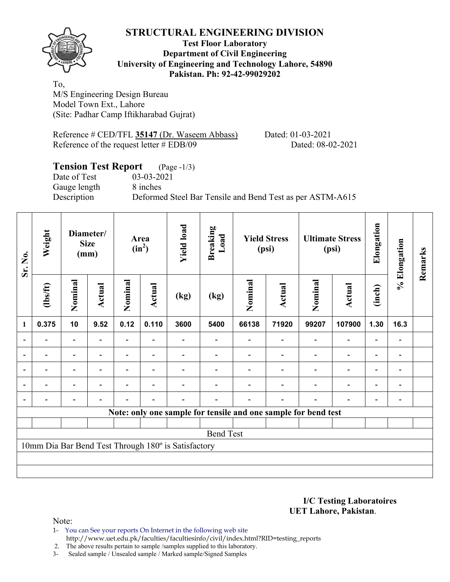

### **Test Floor Laboratory Department of Civil Engineering University of Engineering and Technology Lahore, 54890 Pakistan. Ph: 92-42-99029202**

To, M/S Engineering Design Bureau Model Town Ext., Lahore (Site: Padhar Camp Iftikharabad Gujrat)

Reference # CED/TFL **35147** (Dr. Waseem Abbass) Dated: 01-03-2021 Reference of the request letter # EDB/09 Dated: 08-02-2021

#### **Tension Test Report** (Page -1/3) Date of Test 03-03-2021

Gauge length 8 inches

Description Deformed Steel Bar Tensile and Bend Test as per ASTM-A615

| Sr. No.        | Weight                                              |                          | Diameter/<br><b>Size</b><br>(mm) |                | Area<br>$(in^2)$         | <b>Yield load</b> | <b>Breaking</b><br>Load                                        |         | <b>Yield Stress</b><br>(psi) |         | <b>Ultimate Stress</b><br>(psi) | Elongation               | % Elongation   | Remarks |
|----------------|-----------------------------------------------------|--------------------------|----------------------------------|----------------|--------------------------|-------------------|----------------------------------------------------------------|---------|------------------------------|---------|---------------------------------|--------------------------|----------------|---------|
|                | $\frac{2}{10}$                                      | Nominal                  | Actual                           | Nominal        | Actual                   | (kg)              | (kg)                                                           | Nominal | Actual                       | Nominal | Actual                          | (inch)                   |                |         |
| $\mathbf{1}$   | 0.375                                               | 10                       | 9.52                             | 0.12           | 0.110                    | 3600              | 5400                                                           | 66138   | 71920                        | 99207   | 107900                          | 1.30                     | 16.3           |         |
|                |                                                     | $\blacksquare$           |                                  |                |                          |                   |                                                                |         |                              |         | $\overline{\phantom{0}}$        | $\overline{\phantom{0}}$ |                |         |
|                |                                                     | $\overline{\phantom{0}}$ |                                  |                | ٠                        |                   |                                                                |         |                              |         | $\overline{a}$                  | $\overline{\phantom{0}}$ |                |         |
| $\blacksquare$ | $\blacksquare$                                      | $\overline{\phantom{a}}$ | $\blacksquare$                   |                | $\overline{\phantom{a}}$ |                   |                                                                |         |                              | ۰       | $\overline{\phantom{a}}$        | $\blacksquare$           | $\blacksquare$ |         |
|                | $\blacksquare$                                      | $\blacksquare$           |                                  | $\blacksquare$ | $\blacksquare$           |                   |                                                                |         |                              | ۰       | $\overline{\phantom{0}}$        | $\overline{\phantom{a}}$ | $\blacksquare$ |         |
| $\blacksquare$ |                                                     | $\overline{\phantom{0}}$ | ۰                                | $\blacksquare$ | $\blacksquare$           |                   |                                                                |         | ۰                            | ۰       | $\overline{a}$                  | $\overline{\phantom{0}}$ |                |         |
|                |                                                     |                          |                                  |                |                          |                   | Note: only one sample for tensile and one sample for bend test |         |                              |         |                                 |                          |                |         |
|                |                                                     |                          |                                  |                |                          |                   |                                                                |         |                              |         |                                 |                          |                |         |
|                |                                                     |                          |                                  |                |                          |                   | <b>Bend Test</b>                                               |         |                              |         |                                 |                          |                |         |
|                | 10mm Dia Bar Bend Test Through 180° is Satisfactory |                          |                                  |                |                          |                   |                                                                |         |                              |         |                                 |                          |                |         |
|                |                                                     |                          |                                  |                |                          |                   |                                                                |         |                              |         |                                 |                          |                |         |
|                |                                                     |                          |                                  |                |                          |                   |                                                                |         |                              |         |                                 |                          |                |         |

#### **I/C Testing Laboratoires UET Lahore, Pakistan**.

Note:

1- You can See your reports On Internet in the following web site http://www.uet.edu.pk/faculties/facultiesinfo/civil/index.html?RID=testing\_reports

2. The above results pertain to sample /samples supplied to this laboratory.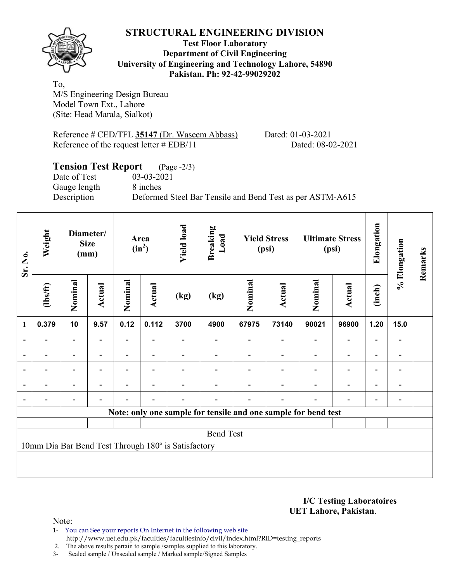

## **Test Floor Laboratory Department of Civil Engineering University of Engineering and Technology Lahore, 54890 Pakistan. Ph: 92-42-99029202**

To, M/S Engineering Design Bureau Model Town Ext., Lahore (Site: Head Marala, Sialkot)

Reference # CED/TFL **35147** (Dr. Waseem Abbass) Dated: 01-03-2021 Reference of the request letter # EDB/11 Dated: 08-02-2021

# **Tension Test Report** (Page -2/3) Date of Test 03-03-2021 Gauge length 8 inches Description Deformed Steel Bar Tensile and Bend Test as per ASTM-A615

| Sr. No.                                             | Weight         |                          | Diameter/<br><b>Size</b><br>(mm) |         | Area<br>$(in^2)$         | <b>Yield load</b> | <b>Breaking</b><br>Load                                        |         | <b>Yield Stress</b><br>(psi) |         | <b>Ultimate Stress</b><br>(psi) | Elongation               | % Elongation   | Remarks |
|-----------------------------------------------------|----------------|--------------------------|----------------------------------|---------|--------------------------|-------------------|----------------------------------------------------------------|---------|------------------------------|---------|---------------------------------|--------------------------|----------------|---------|
|                                                     | $\frac{2}{10}$ | Nominal                  | Actual                           | Nominal | Actual                   | (kg)              | (kg)                                                           | Nominal | Actual                       | Nominal | Actual                          | (inch)                   |                |         |
| $\mathbf{1}$                                        | 0.379          | 10                       | 9.57                             | 0.12    | 0.112                    | 3700              | 4900                                                           | 67975   | 73140                        | 90021   | 96900                           | 1.20                     | 15.0           |         |
| $\overline{\phantom{a}}$                            |                | Ξ.                       |                                  |         |                          |                   |                                                                |         |                              |         | $\overline{\phantom{0}}$        | $\overline{a}$           |                |         |
| $\overline{\phantom{0}}$                            |                |                          |                                  |         |                          |                   |                                                                |         |                              |         | $\overline{\phantom{0}}$        | $\overline{\phantom{0}}$ |                |         |
| $\overline{\phantom{a}}$                            | $\blacksquare$ | $\overline{\phantom{0}}$ |                                  |         |                          |                   |                                                                |         |                              |         | $\overline{\phantom{0}}$        | $\overline{\phantom{0}}$ | $\blacksquare$ |         |
| $\overline{\phantom{a}}$                            |                | $\overline{\phantom{0}}$ |                                  |         |                          |                   |                                                                |         |                              |         | $\overline{a}$                  | $\overline{\phantom{0}}$ |                |         |
| $\overline{\phantom{0}}$                            |                |                          |                                  |         | $\overline{\phantom{0}}$ |                   |                                                                |         |                              |         | $\overline{a}$                  | $\overline{\phantom{a}}$ |                |         |
|                                                     |                |                          |                                  |         |                          |                   | Note: only one sample for tensile and one sample for bend test |         |                              |         |                                 |                          |                |         |
|                                                     |                |                          |                                  |         |                          |                   |                                                                |         |                              |         |                                 |                          |                |         |
| <b>Bend Test</b>                                    |                |                          |                                  |         |                          |                   |                                                                |         |                              |         |                                 |                          |                |         |
| 10mm Dia Bar Bend Test Through 180° is Satisfactory |                |                          |                                  |         |                          |                   |                                                                |         |                              |         |                                 |                          |                |         |
|                                                     |                |                          |                                  |         |                          |                   |                                                                |         |                              |         |                                 |                          |                |         |
|                                                     |                |                          |                                  |         |                          |                   |                                                                |         |                              |         |                                 |                          |                |         |

#### **I/C Testing Laboratoires UET Lahore, Pakistan**.

- 1- You can See your reports On Internet in the following web site http://www.uet.edu.pk/faculties/facultiesinfo/civil/index.html?RID=testing\_reports
- 2. The above results pertain to sample /samples supplied to this laboratory.
- 3- Sealed sample / Unsealed sample / Marked sample/Signed Samples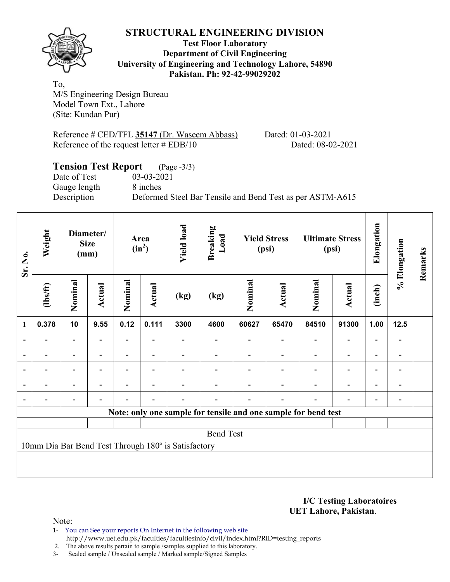

### **Test Floor Laboratory Department of Civil Engineering University of Engineering and Technology Lahore, 54890 Pakistan. Ph: 92-42-99029202**

To, M/S Engineering Design Bureau Model Town Ext., Lahore (Site: Kundan Pur)

Reference # CED/TFL **35147** (Dr. Waseem Abbass) Dated: 01-03-2021 Reference of the request letter # EDB/10 Dated: 08-02-2021

# **Tension Test Report** (Page -3/3) Date of Test 03-03-2021 Gauge length 8 inches Description Deformed Steel Bar Tensile and Bend Test as per ASTM-A615

| Sr. No.                  | Weight                                              |                          | Diameter/<br><b>Size</b><br>(mm) |                          | Area<br>$(in^2)$         | <b>Yield load</b> | <b>Breaking</b><br>Load |         | <b>Yield Stress</b><br>(psi)                                   |         | <b>Ultimate Stress</b><br>(psi) | Elongation               | % Elongation | Remarks |
|--------------------------|-----------------------------------------------------|--------------------------|----------------------------------|--------------------------|--------------------------|-------------------|-------------------------|---------|----------------------------------------------------------------|---------|---------------------------------|--------------------------|--------------|---------|
|                          | $\frac{2}{10}$                                      | Nominal                  | Actual                           | Nominal                  | Actual                   | (kg)              | (kg)                    | Nominal | Actual                                                         | Nominal | <b>Actual</b>                   | (inch)                   |              |         |
| $\mathbf{1}$             | 0.378                                               | 10                       | 9.55                             | 0.12                     | 0.111                    | 3300              | 4600                    | 60627   | 65470                                                          | 84510   | 91300                           | 1.00                     | 12.5         |         |
|                          |                                                     | $\overline{\phantom{0}}$ | $\overline{a}$                   | $\overline{\phantom{0}}$ |                          |                   |                         |         |                                                                |         | $\overline{\phantom{0}}$        | $\overline{\phantom{0}}$ |              |         |
|                          |                                                     |                          |                                  |                          |                          |                   |                         |         |                                                                |         | $\overline{\phantom{0}}$        | $\blacksquare$           |              |         |
| $\overline{\phantom{a}}$ | ۰                                                   | $\overline{\phantom{0}}$ | ۰                                |                          | $\overline{\phantom{0}}$ |                   |                         |         |                                                                |         | $\overline{\phantom{a}}$        | $\overline{\phantom{a}}$ |              |         |
|                          | $\overline{\phantom{0}}$                            | $\overline{\phantom{0}}$ | $\overline{\phantom{0}}$         |                          | $\overline{\phantom{0}}$ |                   |                         |         |                                                                |         | $\overline{\phantom{a}}$        | $\overline{\phantom{a}}$ | -            |         |
|                          |                                                     |                          | $\overline{\phantom{0}}$         |                          |                          |                   |                         |         |                                                                |         | $\qquad \qquad \blacksquare$    | $\overline{\phantom{0}}$ |              |         |
|                          |                                                     |                          |                                  |                          |                          |                   |                         |         | Note: only one sample for tensile and one sample for bend test |         |                                 |                          |              |         |
|                          |                                                     |                          |                                  |                          |                          |                   |                         |         |                                                                |         |                                 |                          |              |         |
| <b>Bend Test</b>         |                                                     |                          |                                  |                          |                          |                   |                         |         |                                                                |         |                                 |                          |              |         |
|                          | 10mm Dia Bar Bend Test Through 180° is Satisfactory |                          |                                  |                          |                          |                   |                         |         |                                                                |         |                                 |                          |              |         |
|                          |                                                     |                          |                                  |                          |                          |                   |                         |         |                                                                |         |                                 |                          |              |         |
|                          |                                                     |                          |                                  |                          |                          |                   |                         |         |                                                                |         |                                 |                          |              |         |

#### **I/C Testing Laboratoires UET Lahore, Pakistan**.

- 1- You can See your reports On Internet in the following web site http://www.uet.edu.pk/faculties/facultiesinfo/civil/index.html?RID=testing\_reports
- 2. The above results pertain to sample /samples supplied to this laboratory.
- 3- Sealed sample / Unsealed sample / Marked sample/Signed Samples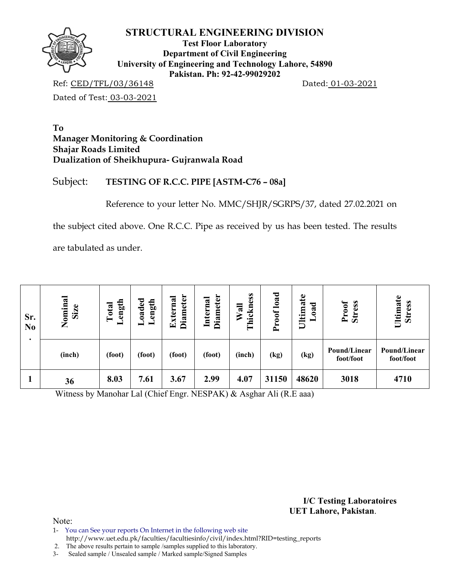

**Test Floor Laboratory Department of Civil Engineering University of Engineering and Technology Lahore, 54890 Pakistan. Ph: 92-42-99029202** 

Ref: CED/TFL/03/36148 Dated: 01-03-2021

Dated of Test: 03-03-2021

## **To Manager Monitoring & Coordination Shajar Roads Limited Dualization of Sheikhupura- Gujranwala Road**

# Subject: **TESTING OF R.C.C. PIPE [ASTM-C76 – 08a]**

Reference to your letter No. MMC/SHJR/SGRPS/37, dated 27.02.2021 on

the subject cited above. One R.C.C. Pipe as received by us has been tested. The results

are tabulated as under.

| Sr.<br>N <sub>0</sub> | Nominal<br>Size | ength<br>Total<br>– | oaded<br>Length | <b>Diameter</b><br>xterna<br>$\boxed{\mathbf{r}}$ | <b>Diameter</b><br>Internal | hickness<br>$W$ all<br>⊨ | load<br>Proof | Ultimate<br>oad<br>— | Proof<br><b>Stress</b>    | Ultimate<br><b>Stress</b> |
|-----------------------|-----------------|---------------------|-----------------|---------------------------------------------------|-----------------------------|--------------------------|---------------|----------------------|---------------------------|---------------------------|
|                       | (inch)          | (foot)              | (foot)          | (foot)                                            | (foot)                      | (inch)                   | (kg)          | (kg)                 | Pound/Linear<br>foot/foot | Pound/Linear<br>foot/foot |
|                       | 36              | 8.03                | 7.61            | 3.67                                              | 2.99                        | 4.07                     | 31150         | 48620                | 3018                      | 4710                      |

Witness by Manohar Lal (Chief Engr. NESPAK) & Asghar Ali (R.E aaa)

**I/C Testing Laboratoires UET Lahore, Pakistan**.

Note:

1- You can See your reports On Internet in the following web site http://www.uet.edu.pk/faculties/facultiesinfo/civil/index.html?RID=testing\_reports

2. The above results pertain to sample /samples supplied to this laboratory.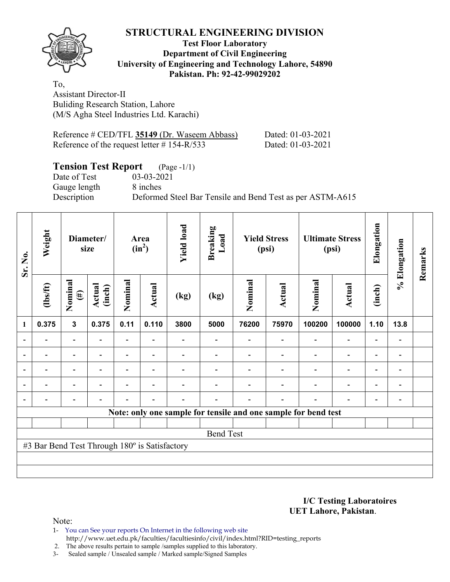

## **Test Floor Laboratory Department of Civil Engineering University of Engineering and Technology Lahore, 54890 Pakistan. Ph: 92-42-99029202**

To, Assistant Director-II Buliding Research Station, Lahore (M/S Agha Steel Industries Ltd. Karachi)

| Reference # CED/TFL 35149 (Dr. Waseem Abbass)  |  |
|------------------------------------------------|--|
| Reference of the request letter $\#$ 154-R/533 |  |

Dated: 01-03-2021 Dated: 01-03-2021

# **Tension Test Report** (Page -1/1)

Gauge length 8 inches

Date of Test 03-03-2021

Description Deformed Steel Bar Tensile and Bend Test as per ASTM-A615

| Sr. No.                                       | Weight                   |                          | Diameter/<br>size        |         | Area<br>$(in^2)$         | <b>Yield load</b> | <b>Breaking</b><br>Load |         | <b>Yield Stress</b><br>(psi) |                                                                | <b>Ultimate Stress</b><br>(psi) | Elongation               | % Elongation                 | Remarks |
|-----------------------------------------------|--------------------------|--------------------------|--------------------------|---------|--------------------------|-------------------|-------------------------|---------|------------------------------|----------------------------------------------------------------|---------------------------------|--------------------------|------------------------------|---------|
|                                               | $\frac{2}{10}$           | Nominal<br>$(\#)$        | Actual<br>(inch)         | Nominal | <b>Actual</b>            | (kg)              | (kg)                    | Nominal | Actual                       | Nominal                                                        | <b>Actual</b>                   | (inch)                   |                              |         |
| $\mathbf{1}$                                  | 0.375                    | $\mathbf{3}$             | 0.375                    | 0.11    | 0.110                    | 3800              | 5000                    | 76200   | 75970                        | 100200                                                         | 100000                          | 1.10                     | 13.8                         |         |
| $\overline{\phantom{0}}$                      |                          | $\overline{\phantom{0}}$ |                          | Ξ.      | $\overline{\phantom{0}}$ |                   |                         |         |                              | $\blacksquare$                                                 | $\overline{\phantom{0}}$        | $\overline{\phantom{0}}$ |                              |         |
| $\blacksquare$                                |                          | Ξ.                       | $\blacksquare$           | Ξ.      | $\overline{\phantom{a}}$ |                   |                         |         | $\overline{\phantom{0}}$     | $\overline{\phantom{0}}$                                       | $\overline{\phantom{a}}$        | $\overline{\phantom{0}}$ | $\qquad \qquad \blacksquare$ |         |
| $\overline{a}$                                |                          | $\overline{\phantom{0}}$ |                          |         | $\overline{\phantom{a}}$ |                   |                         |         |                              |                                                                | $\overline{\phantom{0}}$        | $\overline{\phantom{0}}$ |                              |         |
| $\overline{\phantom{0}}$                      | $\overline{\phantom{0}}$ | $\overline{\phantom{0}}$ | $\overline{\phantom{0}}$ |         | $\overline{\phantom{0}}$ |                   |                         |         |                              | $\overline{\phantom{0}}$                                       | $\blacksquare$                  | $\overline{\phantom{a}}$ | $\overline{\phantom{a}}$     |         |
| $\overline{\phantom{0}}$                      |                          | -                        |                          |         |                          |                   |                         |         |                              | ٠                                                              | $\overline{a}$                  | -                        | $\qquad \qquad \blacksquare$ |         |
|                                               |                          |                          |                          |         |                          |                   |                         |         |                              | Note: only one sample for tensile and one sample for bend test |                                 |                          |                              |         |
|                                               |                          |                          |                          |         |                          |                   |                         |         |                              |                                                                |                                 |                          |                              |         |
| <b>Bend Test</b>                              |                          |                          |                          |         |                          |                   |                         |         |                              |                                                                |                                 |                          |                              |         |
| #3 Bar Bend Test Through 180° is Satisfactory |                          |                          |                          |         |                          |                   |                         |         |                              |                                                                |                                 |                          |                              |         |
|                                               |                          |                          |                          |         |                          |                   |                         |         |                              |                                                                |                                 |                          |                              |         |
|                                               |                          |                          |                          |         |                          |                   |                         |         |                              |                                                                |                                 |                          |                              |         |

**I/C Testing Laboratoires UET Lahore, Pakistan**.

Note:

1- You can See your reports On Internet in the following web site http://www.uet.edu.pk/faculties/facultiesinfo/civil/index.html?RID=testing\_reports

2. The above results pertain to sample /samples supplied to this laboratory.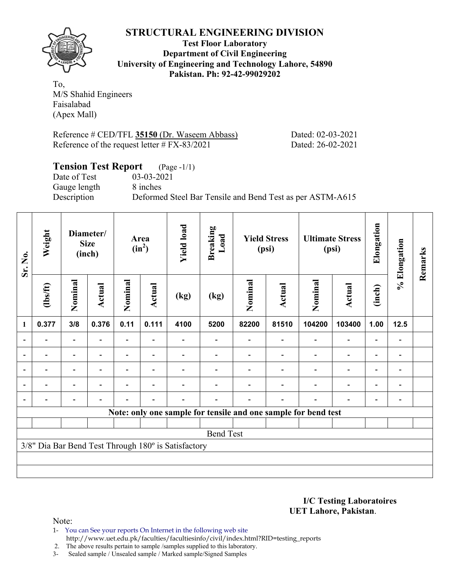

**Test Floor Laboratory Department of Civil Engineering University of Engineering and Technology Lahore, 54890 Pakistan. Ph: 92-42-99029202** 

To, M/S Shahid Engineers Faisalabad (Apex Mall)

Reference # CED/TFL 35150 (Dr. Waseem Abbass) Dated: 02-03-2021 Reference of the request letter # FX-83/2021 Dated: 26-02-2021

# **Tension Test Report** (Page -1/1)

Date of Test 03-03-2021 Gauge length 8 inches

Description Deformed Steel Bar Tensile and Bend Test as per ASTM-A615

| Sr. No.                                             | Weight         |                          | Diameter/<br><b>Size</b><br>(inch) |         | Area<br>$(in^2)$         | <b>Yield load</b> | <b>Breaking</b><br>Load |         | <b>Yield Stress</b><br>(psi) |                                                                | <b>Ultimate Stress</b><br>(psi) | Elongation               | % Elongation                 | Remarks |
|-----------------------------------------------------|----------------|--------------------------|------------------------------------|---------|--------------------------|-------------------|-------------------------|---------|------------------------------|----------------------------------------------------------------|---------------------------------|--------------------------|------------------------------|---------|
|                                                     | $\frac{2}{10}$ | Nominal                  | Actual                             | Nominal | Actual                   | (kg)              | (kg)                    | Nominal | Actual                       | Nominal                                                        | Actual                          | (inch)                   |                              |         |
| $\mathbf{1}$                                        | 0.377          | 3/8                      | 0.376                              | 0.11    | 0.111                    | 4100              | 5200                    | 82200   | 81510                        | 104200                                                         | 103400                          | 1.00                     | 12.5                         |         |
| $\blacksquare$                                      |                | $\overline{\phantom{0}}$ |                                    | Ξ.      |                          |                   |                         |         |                              |                                                                | $\overline{\phantom{0}}$        | $\overline{a}$           |                              |         |
|                                                     |                | $\overline{\phantom{0}}$ |                                    |         |                          |                   |                         |         |                              |                                                                | $\overline{\phantom{0}}$        | $\overline{\phantom{0}}$ |                              |         |
| $\blacksquare$                                      |                | $\overline{\phantom{0}}$ |                                    |         | ۰                        |                   |                         |         |                              |                                                                | $\overline{\phantom{0}}$        | $\overline{\phantom{0}}$ | $\blacksquare$               |         |
|                                                     |                | Ξ.                       |                                    |         |                          |                   |                         |         |                              |                                                                | $\blacksquare$                  | $\overline{\phantom{0}}$ | $\overline{\phantom{0}}$     |         |
|                                                     |                | $\overline{\phantom{0}}$ |                                    |         | $\overline{\phantom{a}}$ |                   |                         |         |                              | $\blacksquare$                                                 | $\overline{a}$                  | -                        | $\qquad \qquad \blacksquare$ |         |
|                                                     |                |                          |                                    |         |                          |                   |                         |         |                              | Note: only one sample for tensile and one sample for bend test |                                 |                          |                              |         |
|                                                     |                |                          |                                    |         |                          |                   |                         |         |                              |                                                                |                                 |                          |                              |         |
| <b>Bend Test</b>                                    |                |                          |                                    |         |                          |                   |                         |         |                              |                                                                |                                 |                          |                              |         |
| 3/8" Dia Bar Bend Test Through 180° is Satisfactory |                |                          |                                    |         |                          |                   |                         |         |                              |                                                                |                                 |                          |                              |         |
|                                                     |                |                          |                                    |         |                          |                   |                         |         |                              |                                                                |                                 |                          |                              |         |
|                                                     |                |                          |                                    |         |                          |                   |                         |         |                              |                                                                |                                 |                          |                              |         |

**I/C Testing Laboratoires UET Lahore, Pakistan**.

Note:

1- You can See your reports On Internet in the following web site http://www.uet.edu.pk/faculties/facultiesinfo/civil/index.html?RID=testing\_reports

2. The above results pertain to sample /samples supplied to this laboratory.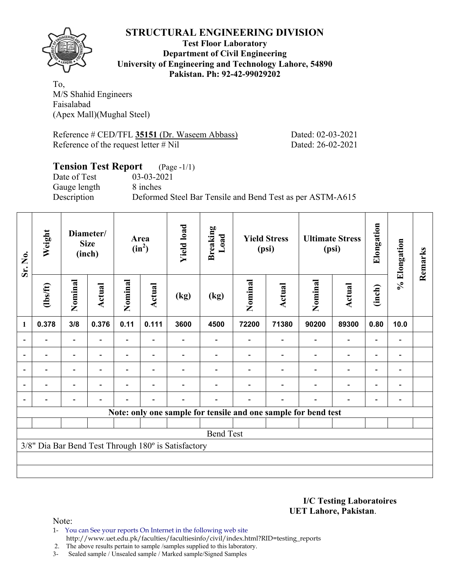

## **Test Floor Laboratory Department of Civil Engineering University of Engineering and Technology Lahore, 54890 Pakistan. Ph: 92-42-99029202**

To, M/S Shahid Engineers Faisalabad (Apex Mall)(Mughal Steel)

Reference # CED/TFL 35151 (Dr. Waseem Abbass) Dated: 02-03-2021 Reference of the request letter # Nil Dated: 26-02-2021

# **Tension Test Report** (Page -1/1) Date of Test 03-03-2021 Gauge length 8 inches Description Deformed Steel Bar Tensile and Bend Test as per ASTM-A615

| Sr. No.          | Weight                                              |                          | Diameter/<br><b>Size</b><br>(inch) |                | Area<br>$(in^2)$         | <b>Yield load</b> | Breaking<br>Load |         | <b>Yield Stress</b><br>(psi) |                                                                | <b>Ultimate Stress</b><br>(psi) | Elongation               | % Elongation | Remarks |
|------------------|-----------------------------------------------------|--------------------------|------------------------------------|----------------|--------------------------|-------------------|------------------|---------|------------------------------|----------------------------------------------------------------|---------------------------------|--------------------------|--------------|---------|
|                  | $\frac{2}{10}$                                      | Nominal                  | Actual                             | Nominal        | <b>Actual</b>            | (kg)              | (kg)             | Nominal | Actual                       | Nominal                                                        | Actual                          | (inch)                   |              |         |
| 1                | 0.378                                               | 3/8                      | 0.376                              | 0.11           | 0.111                    | 3600              | 4500             | 72200   | 71380                        | 90200                                                          | 89300                           | 0.80                     | 10.0         |         |
|                  |                                                     | $\overline{\phantom{0}}$ |                                    |                |                          |                   |                  |         |                              |                                                                | $\overline{\phantom{0}}$        |                          |              |         |
|                  |                                                     | $\overline{\phantom{0}}$ |                                    |                |                          |                   |                  |         |                              |                                                                |                                 | ۰                        |              |         |
| $\blacksquare$   |                                                     | $\overline{\phantom{0}}$ | $\overline{\phantom{0}}$           |                | $\blacksquare$           |                   |                  |         |                              |                                                                | $\overline{a}$                  | $\overline{\phantom{0}}$ |              |         |
|                  | $\blacksquare$                                      | $\overline{\phantom{0}}$ |                                    | $\blacksquare$ | $\blacksquare$           |                   |                  |         |                              |                                                                | $\overline{\phantom{0}}$        | $\overline{\phantom{0}}$ |              |         |
|                  |                                                     | $\overline{\phantom{0}}$ |                                    |                | $\overline{\phantom{0}}$ |                   |                  |         |                              |                                                                | $\overline{\phantom{0}}$        | $\overline{\phantom{0}}$ |              |         |
|                  |                                                     |                          |                                    |                |                          |                   |                  |         |                              | Note: only one sample for tensile and one sample for bend test |                                 |                          |              |         |
|                  |                                                     |                          |                                    |                |                          |                   |                  |         |                              |                                                                |                                 |                          |              |         |
| <b>Bend Test</b> |                                                     |                          |                                    |                |                          |                   |                  |         |                              |                                                                |                                 |                          |              |         |
|                  | 3/8" Dia Bar Bend Test Through 180° is Satisfactory |                          |                                    |                |                          |                   |                  |         |                              |                                                                |                                 |                          |              |         |
|                  |                                                     |                          |                                    |                |                          |                   |                  |         |                              |                                                                |                                 |                          |              |         |
|                  |                                                     |                          |                                    |                |                          |                   |                  |         |                              |                                                                |                                 |                          |              |         |

#### **I/C Testing Laboratoires UET Lahore, Pakistan**.

- 1- You can See your reports On Internet in the following web site http://www.uet.edu.pk/faculties/facultiesinfo/civil/index.html?RID=testing\_reports
- 2. The above results pertain to sample /samples supplied to this laboratory.
- 3- Sealed sample / Unsealed sample / Marked sample/Signed Samples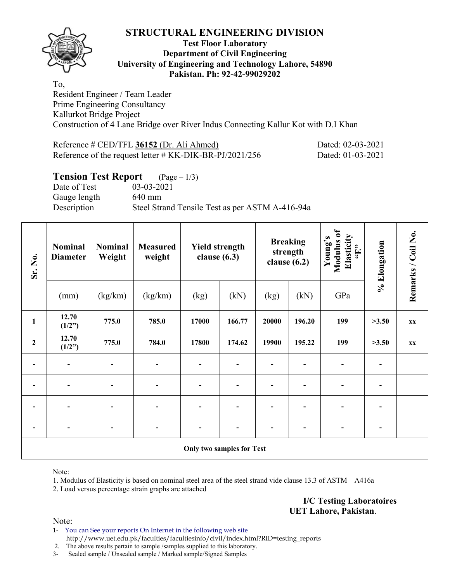

### **Test Floor Laboratory Department of Civil Engineering University of Engineering and Technology Lahore, 54890 Pakistan. Ph: 92-42-99029202**

To, Resident Engineer / Team Leader Prime Engineering Consultancy Kallurkot Bridge Project Construction of 4 Lane Bridge over River Indus Connecting Kallur Kot with D.I Khan

| Reference # CED/TFL 36152 (Dr. Ali Ahmed)                  | Dated: 02-03-2021 |
|------------------------------------------------------------|-------------------|
| Reference of the request letter $\#$ KK-DIK-BR-PJ/2021/256 | Dated: 01-03-2021 |

## **Tension Test Report** (Page – 1/3)

Date of Test 03-03-2021 Gauge length 640 mm Description Steel Strand Tensile Test as per ASTM A-416-94a

| Sr. No.                   | <b>Nominal</b><br><b>Diameter</b> | <b>Nominal</b><br>Weight | <b>Measured</b><br>weight    | <b>Yield strength</b><br>clause $(6.3)$ |        | <b>Breaking</b><br>strength<br>clause $(6.2)$ |        | Modulus of<br>Elasticity<br>Young's<br>$\epsilon_{\rm H},$ | % Elongation | Remarks / Coil No. |  |
|---------------------------|-----------------------------------|--------------------------|------------------------------|-----------------------------------------|--------|-----------------------------------------------|--------|------------------------------------------------------------|--------------|--------------------|--|
|                           | (mm)                              | (kg/km)                  | (kg/km)                      | (kg)                                    | (kN)   | (kg)                                          | (kN)   | GPa                                                        |              |                    |  |
| $\mathbf{1}$              | 12.70<br>(1/2")                   | 775.0                    | 785.0                        | 17000                                   | 166.77 | 20000                                         | 196.20 | 199                                                        | >3.50        | XX                 |  |
| $\mathbf 2$               | 12.70<br>(1/2")                   | 775.0                    | 784.0                        | 17800                                   | 174.62 | 19900                                         | 195.22 | 199                                                        | >3.50        | XX                 |  |
|                           | $\qquad \qquad \blacksquare$      |                          |                              |                                         |        |                                               |        |                                                            |              |                    |  |
|                           | $\overline{a}$                    | $\overline{\phantom{0}}$ | $\overline{a}$               |                                         |        |                                               |        |                                                            |              |                    |  |
|                           | $\overline{\phantom{a}}$          | $\overline{\phantom{0}}$ | $\qquad \qquad \blacksquare$ |                                         |        |                                               |        |                                                            |              |                    |  |
|                           | $\blacksquare$                    |                          | $\blacksquare$               |                                         |        |                                               |        | -                                                          |              |                    |  |
| Only two samples for Test |                                   |                          |                              |                                         |        |                                               |        |                                                            |              |                    |  |

Note:

1. Modulus of Elasticity is based on nominal steel area of the steel strand vide clause 13.3 of ASTM – A416a

2. Load versus percentage strain graphs are attached

**I/C Testing Laboratoires UET Lahore, Pakistan**.

Note:

1- You can See your reports On Internet in the following web site http://www.uet.edu.pk/faculties/facultiesinfo/civil/index.html?RID=testing\_reports

2. The above results pertain to sample /samples supplied to this laboratory.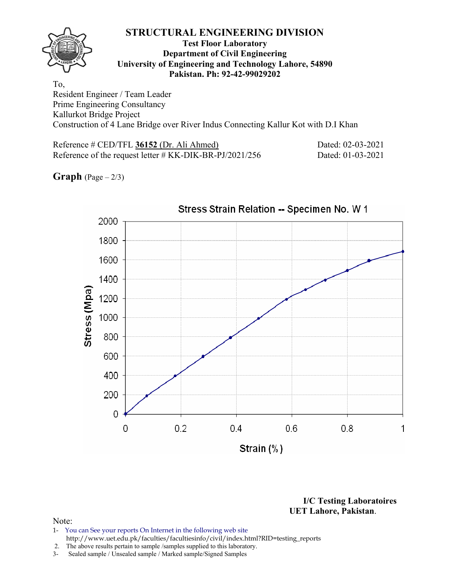### **Test Floor Laboratory Department of Civil Engineering University of Engineering and Technology Lahore, 54890 Pakistan. Ph: 92-42-99029202**

To, Resident Engineer / Team Leader Prime Engineering Consultancy Kallurkot Bridge Project Construction of 4 Lane Bridge over River Indus Connecting Kallur Kot with D.I Khan

Reference # CED/TFL **36152** (Dr. Ali Ahmed) Dated: 02-03-2021 Reference of the request letter # KK-DIK-BR-PJ/2021/256 Dated: 01-03-2021

**Graph**  $(Page - 2/3)$ 



**I/C Testing Laboratoires UET Lahore, Pakistan**.

- 1- You can See your reports On Internet in the following web site http://www.uet.edu.pk/faculties/facultiesinfo/civil/index.html?RID=testing\_reports
- 2. The above results pertain to sample /samples supplied to this laboratory.
- 3- Sealed sample / Unsealed sample / Marked sample/Signed Samples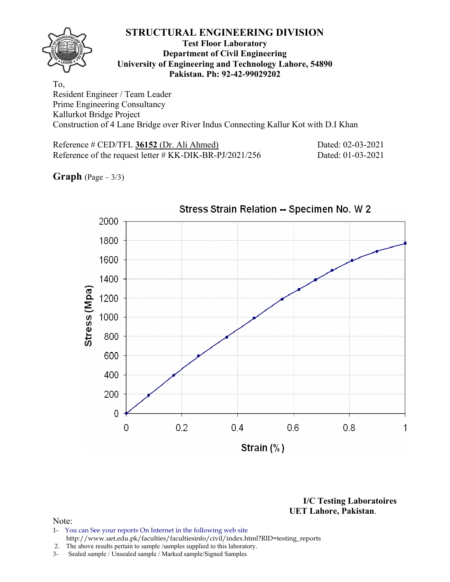### **Test Floor Laboratory Department of Civil Engineering University of Engineering and Technology Lahore, 54890 Pakistan. Ph: 92-42-99029202**

To, Resident Engineer / Team Leader Prime Engineering Consultancy Kallurkot Bridge Project Construction of 4 Lane Bridge over River Indus Connecting Kallur Kot with D.I Khan

Reference # CED/TFL **36152** (Dr. Ali Ahmed) Dated: 02-03-2021 Reference of the request letter # KK-DIK-BR-PJ/2021/256 Dated: 01-03-2021

**Graph**  $(Page - 3/3)$ 



**I/C Testing Laboratoires UET Lahore, Pakistan**.

- 1- You can See your reports On Internet in the following web site http://www.uet.edu.pk/faculties/facultiesinfo/civil/index.html?RID=testing\_reports
- 2. The above results pertain to sample /samples supplied to this laboratory.
- 3- Sealed sample / Unsealed sample / Marked sample/Signed Samples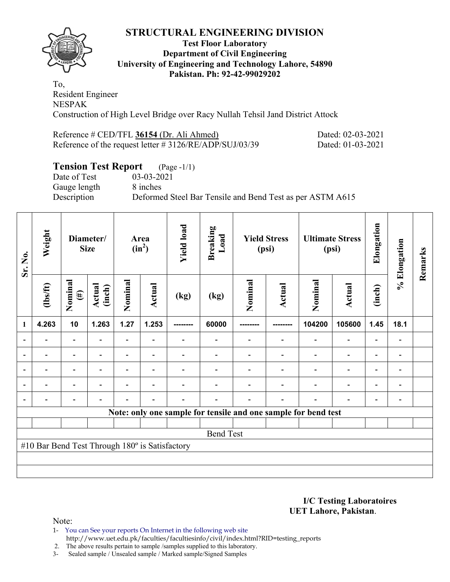

## **Test Floor Laboratory Department of Civil Engineering University of Engineering and Technology Lahore, 54890 Pakistan. Ph: 92-42-99029202**

To, Resident Engineer NESPAK Construction of High Level Bridge over Racy Nullah Tehsil Jand District Attock

| Reference # CED/TFL 36154 (Dr. Ali Ahmed)                  | Dated: 02-03-2021 |
|------------------------------------------------------------|-------------------|
| Reference of the request letter $\#$ 3126/RE/ADP/SUJ/03/39 | Dated: 01-03-2021 |

# **Tension Test Report** (Page -1/1)

Date of Test 03-03-2021 Gauge length 8 inches

Description Deformed Steel Bar Tensile and Bend Test as per ASTM A615

| Sr. No.                                        | Weight                                                         | Diameter/<br><b>Size</b> |                  | Area<br>$(in^2)$         |                          | <b>Yield load</b> | <b>Breaking</b><br>Load | <b>Yield Stress</b><br>(psi) |                | <b>Ultimate Stress</b><br>(psi) |                          | Elongation               | % Elongation             | Remarks |
|------------------------------------------------|----------------------------------------------------------------|--------------------------|------------------|--------------------------|--------------------------|-------------------|-------------------------|------------------------------|----------------|---------------------------------|--------------------------|--------------------------|--------------------------|---------|
|                                                | $\frac{2}{10}$                                                 | Nominal<br>$(\#)$        | Actual<br>(inch) | Nominal                  | Actual                   | (kg)              | (kg)                    | Nominal                      | Actual         | Nominal                         | Actual                   | (inch)                   |                          |         |
| $\mathbf{1}$                                   | 4.263                                                          | 10                       | 1.263            | 1.27                     | 1.253                    | --------          | 60000                   |                              |                | 104200                          | 105600                   | 1.45                     | 18.1                     |         |
|                                                |                                                                |                          |                  | $\overline{\phantom{0}}$ |                          |                   |                         |                              |                |                                 | $\overline{\phantom{0}}$ | $\overline{a}$           |                          |         |
|                                                |                                                                |                          |                  |                          | ۰                        |                   |                         |                              |                |                                 | $\overline{\phantom{0}}$ | $\overline{\phantom{0}}$ |                          |         |
| $\overline{\phantom{0}}$                       | $\blacksquare$                                                 | $\overline{\phantom{a}}$ | $\blacksquare$   |                          | $\overline{\phantom{a}}$ |                   |                         |                              |                | $\blacksquare$                  | $\overline{\phantom{a}}$ | $\overline{\phantom{a}}$ | $\blacksquare$           |         |
|                                                |                                                                | $\overline{\phantom{a}}$ |                  |                          | ۰                        |                   |                         |                              |                |                                 | $\overline{\phantom{0}}$ | $\overline{\phantom{0}}$ | $\overline{\phantom{0}}$ |         |
|                                                | $\blacksquare$                                                 | $\overline{\phantom{0}}$ |                  | $\blacksquare$           | ۰                        | $\blacksquare$    |                         |                              | $\blacksquare$ | $\blacksquare$                  | $\overline{\phantom{0}}$ | $\overline{\phantom{a}}$ | $\blacksquare$           |         |
|                                                | Note: only one sample for tensile and one sample for bend test |                          |                  |                          |                          |                   |                         |                              |                |                                 |                          |                          |                          |         |
|                                                |                                                                |                          |                  |                          |                          |                   |                         |                              |                |                                 |                          |                          |                          |         |
| <b>Bend Test</b>                               |                                                                |                          |                  |                          |                          |                   |                         |                              |                |                                 |                          |                          |                          |         |
| #10 Bar Bend Test Through 180° is Satisfactory |                                                                |                          |                  |                          |                          |                   |                         |                              |                |                                 |                          |                          |                          |         |
|                                                |                                                                |                          |                  |                          |                          |                   |                         |                              |                |                                 |                          |                          |                          |         |
|                                                |                                                                |                          |                  |                          |                          |                   |                         |                              |                |                                 |                          |                          |                          |         |

**I/C Testing Laboratoires UET Lahore, Pakistan**.

Note:

1- You can See your reports On Internet in the following web site http://www.uet.edu.pk/faculties/facultiesinfo/civil/index.html?RID=testing\_reports

2. The above results pertain to sample /samples supplied to this laboratory.